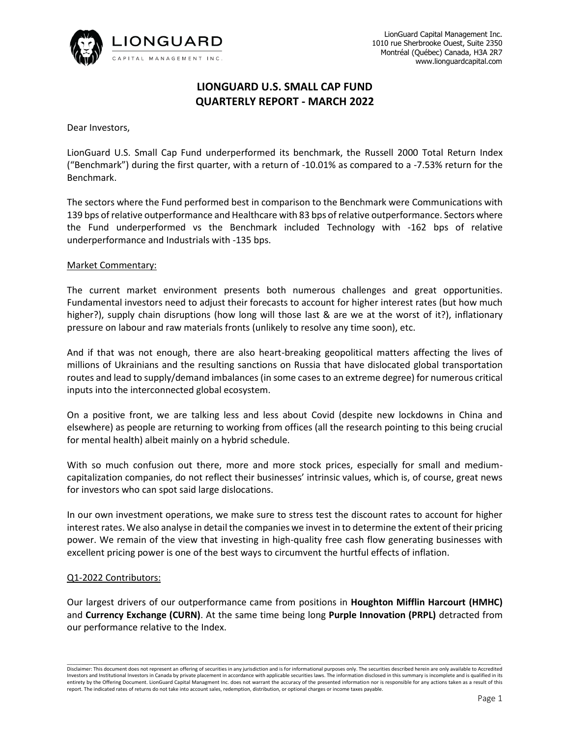

# **LIONGUARD U.S. SMALL CAP FUND QUARTERLY REPORT - MARCH 2022**

Dear Investors,

LionGuard U.S. Small Cap Fund underperformed its benchmark, the Russell 2000 Total Return Index ("Benchmark") during the first quarter, with a return of -10.01% as compared to a -7.53% return for the Benchmark.

The sectors where the Fund performed best in comparison to the Benchmark were Communications with 139 bps of relative outperformance and Healthcare with 83 bps of relative outperformance. Sectors where the Fund underperformed vs the Benchmark included Technology with -162 bps of relative underperformance and Industrials with -135 bps.

## Market Commentary:

The current market environment presents both numerous challenges and great opportunities. Fundamental investors need to adjust their forecasts to account for higher interest rates (but how much higher?), supply chain disruptions (how long will those last & are we at the worst of it?), inflationary pressure on labour and raw materials fronts (unlikely to resolve any time soon), etc.

And if that was not enough, there are also heart-breaking geopolitical matters affecting the lives of millions of Ukrainians and the resulting sanctions on Russia that have dislocated global transportation routes and lead to supply/demand imbalances (in some cases to an extreme degree) for numerous critical inputs into the interconnected global ecosystem.

On a positive front, we are talking less and less about Covid (despite new lockdowns in China and elsewhere) as people are returning to working from offices (all the research pointing to this being crucial for mental health) albeit mainly on a hybrid schedule.

With so much confusion out there, more and more stock prices, especially for small and mediumcapitalization companies, do not reflect their businesses' intrinsic values, which is, of course, great news for investors who can spot said large dislocations.

In our own investment operations, we make sure to stress test the discount rates to account for higher interest rates. We also analyse in detail the companies we invest in to determine the extent of their pricing power. We remain of the view that investing in high-quality free cash flow generating businesses with excellent pricing power is one of the best ways to circumvent the hurtful effects of inflation.

#### Q1-2022 Contributors:

Our largest drivers of our outperformance came from positions in **Houghton Mifflin Harcourt (HMHC)** and **Currency Exchange (CURN)**. At the same time being long **Purple Innovation (PRPL)** detracted from our performance relative to the Index.

\_\_\_\_\_\_\_\_\_\_\_\_\_\_\_\_\_\_\_\_\_\_\_\_\_\_\_\_\_\_\_\_\_\_\_\_\_\_\_\_\_\_\_\_\_\_\_\_\_\_\_\_\_\_\_\_\_\_\_\_\_\_\_\_\_\_\_\_\_\_\_\_\_\_\_\_\_\_\_\_\_\_\_\_\_\_\_\_\_\_\_\_\_\_\_\_\_\_\_\_\_\_\_\_\_\_\_\_\_\_\_\_\_\_\_\_\_\_\_\_\_\_\_\_\_\_\_\_\_\_\_\_\_\_\_\_\_\_\_\_\_\_\_\_\_\_\_\_\_\_\_\_\_\_\_\_ Disclaimer: This document does not represent an offering of securities in any jurisdiction and is for informational purposes only. The securities described herein are only available to Accredited Investors and Institutional Investors in Canada by private placement in accordance with applicable securities laws. The information disclosed in this summary is incomplete and is qualified in its entirety by the Offering Document. LionGuard Capital Managment Inc. does not warrant the accuracy of the presented information nor is responsible for any actions taken as a result of this report. The indicated rates of returns do not take into account sales, redemption, distribution, or optional charges or income taxes payable.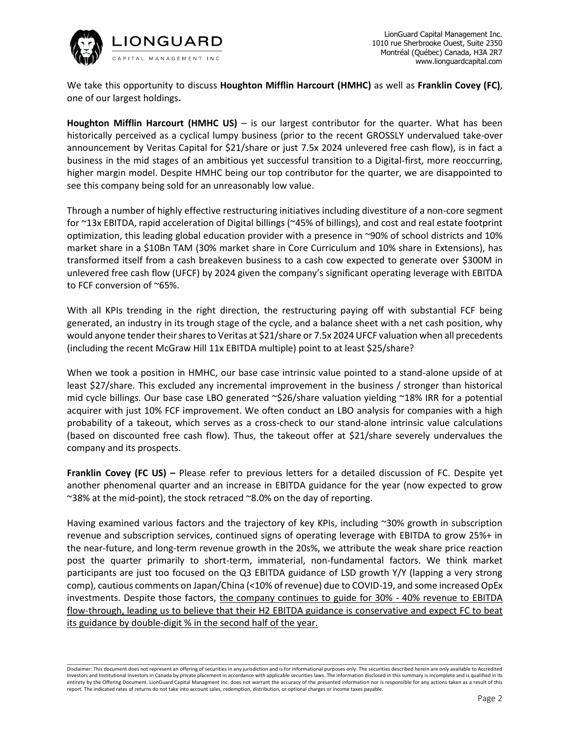

We take this opportunity to discuss **Houghton Mifflin Harcourt (HMHC)** as well as **Franklin Covey (FC)**, one of our largest holdings**.**

**Houghton Mifflin Harcourt (HMHC US)** – is our largest contributor for the quarter. What has been historically perceived as a cyclical lumpy business (prior to the recent GROSSLY undervalued take-over announcement by Veritas Capital for \$21/share or just 7.5x 2024 unlevered free cash flow), is in fact a business in the mid stages of an ambitious yet successful transition to a Digital-first, more reoccurring, higher margin model. Despite HMHC being our top contributor for the quarter, we are disappointed to see this company being sold for an unreasonably low value.

Through a number of highly effective restructuring initiatives including divestiture of a non-core segment for ~13x EBITDA, rapid acceleration of Digital billings (~45% of billings), and cost and real estate footprint optimization, this leading global education provider with a presence in ~90% of school districts and 10% market share in a \$10Bn TAM (30% market share in Core Curriculum and 10% share in Extensions), has transformed itself from a cash breakeven business to a cash cow expected to generate over \$300M in unlevered free cash flow (UFCF) by 2024 given the company's significant operating leverage with EBITDA to FCF conversion of ~65%.

With all KPIs trending in the right direction, the restructuring paying off with substantial FCF being generated, an industry in its trough stage of the cycle, and a balance sheet with a net cash position, why would anyone tender their shares to Veritas at \$21/share or 7.5x 2024 UFCF valuation when all precedents (including the recent McGraw Hill 11x EBITDA multiple) point to at least \$25/share?

When we took a position in HMHC, our base case intrinsic value pointed to a stand-alone upside of at least \$27/share. This excluded any incremental improvement in the business / stronger than historical mid cycle billings. Our base case LBO generated ~\$26/share valuation yielding ~18% IRR for a potential acquirer with just 10% FCF improvement. We often conduct an LBO analysis for companies with a high probability of a takeout, which serves as a cross-check to our stand-alone intrinsic value calculations (based on discounted free cash flow). Thus, the takeout offer at \$21/share severely undervalues the company and its prospects.

**Franklin Covey (FC US) –** Please refer to previous letters for a detailed discussion of FC. Despite yet another phenomenal quarter and an increase in EBITDA guidance for the year (now expected to grow ~38% at the mid-point), the stock retraced ~8.0% on the day of reporting.

Having examined various factors and the trajectory of key KPIs, including ~30% growth in subscription revenue and subscription services, continued signs of operating leverage with EBITDA to grow 25%+ in the near-future, and long-term revenue growth in the 20s%, we attribute the weak share price reaction post the quarter primarily to short-term, immaterial, non-fundamental factors. We think market participants are just too focused on the Q3 EBITDA guidance of LSD growth Y/Y (lapping a very strong comp), cautious comments on Japan/China (<10% of revenue) due to COVID-19, and some increased OpEx investments. Despite those factors, the company continues to guide for 30% - 40% revenue to EBITDA flow-through, leading us to believe that their H2 EBITDA guidance is conservative and expect FC to beat its guidance by double-digit % in the second half of the year.

\_\_\_\_\_\_\_\_\_\_\_\_\_\_\_\_\_\_\_\_\_\_\_\_\_\_\_\_\_\_\_\_\_\_\_\_\_\_\_\_\_\_\_\_\_\_\_\_\_\_\_\_\_\_\_\_\_\_\_\_\_\_\_\_\_\_\_\_\_\_\_\_\_\_\_\_\_\_\_\_\_\_\_\_\_\_\_\_\_\_\_\_\_\_\_\_\_\_\_\_\_\_\_\_\_\_\_\_\_\_\_\_\_\_\_\_\_\_\_\_\_\_\_\_\_\_\_\_\_\_\_\_\_\_\_\_\_\_\_\_\_\_\_\_\_\_\_\_\_\_\_\_\_\_\_\_ Disclaimer: This document does not represent an offering of securities in any jurisdiction and is for informational purposes only. The securities described herein are only available to Accredited Investors and Institutional Investors in Canada by private placement in accordance with applicable securities laws. The information disclosed in this summary is incomplete and is qualified in its entirety by the Offering Document. LionGuard Capital Managment Inc. does not warrant the accuracy of the presented information nor is responsible for any actions taken as a result of this report. The indicated rates of returns do not take into account sales, redemption, distribution, or optional charges or income taxes payable.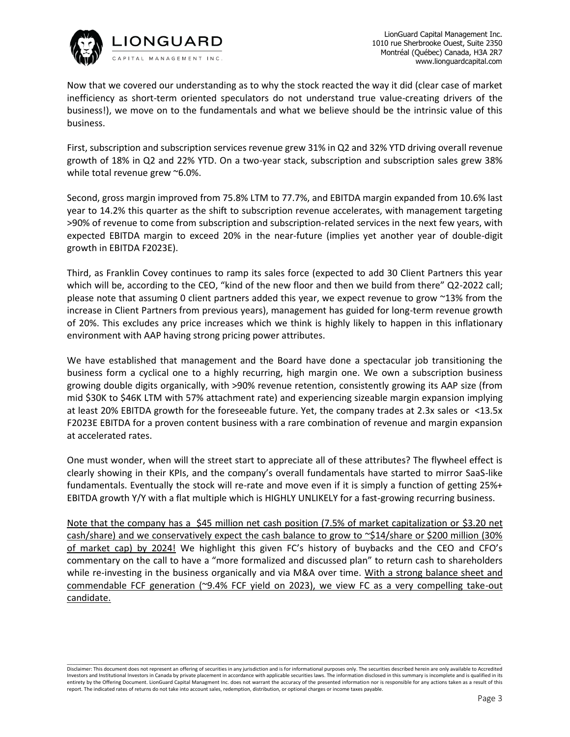

Now that we covered our understanding as to why the stock reacted the way it did (clear case of market inefficiency as short-term oriented speculators do not understand true value-creating drivers of the business!), we move on to the fundamentals and what we believe should be the intrinsic value of this business.

First, subscription and subscription services revenue grew 31% in Q2 and 32% YTD driving overall revenue growth of 18% in Q2 and 22% YTD. On a two-year stack, subscription and subscription sales grew 38% while total revenue grew ~6.0%.

Second, gross margin improved from 75.8% LTM to 77.7%, and EBITDA margin expanded from 10.6% last year to 14.2% this quarter as the shift to subscription revenue accelerates, with management targeting >90% of revenue to come from subscription and subscription-related services in the next few years, with expected EBITDA margin to exceed 20% in the near-future (implies yet another year of double-digit growth in EBITDA F2023E).

Third, as Franklin Covey continues to ramp its sales force (expected to add 30 Client Partners this year which will be, according to the CEO, "kind of the new floor and then we build from there" Q2-2022 call; please note that assuming 0 client partners added this year, we expect revenue to grow ~13% from the increase in Client Partners from previous years), management has guided for long-term revenue growth of 20%. This excludes any price increases which we think is highly likely to happen in this inflationary environment with AAP having strong pricing power attributes.

We have established that management and the Board have done a spectacular job transitioning the business form a cyclical one to a highly recurring, high margin one. We own a subscription business growing double digits organically, with >90% revenue retention, consistently growing its AAP size (from mid \$30K to \$46K LTM with 57% attachment rate) and experiencing sizeable margin expansion implying at least 20% EBITDA growth for the foreseeable future. Yet, the company trades at 2.3x sales or <13.5x F2023E EBITDA for a proven content business with a rare combination of revenue and margin expansion at accelerated rates.

One must wonder, when will the street start to appreciate all of these attributes? The flywheel effect is clearly showing in their KPIs, and the company's overall fundamentals have started to mirror SaaS-like fundamentals. Eventually the stock will re-rate and move even if it is simply a function of getting 25%+ EBITDA growth Y/Y with a flat multiple which is HIGHLY UNLIKELY for a fast-growing recurring business.

Note that the company has a \$45 million net cash position (7.5% of market capitalization or \$3.20 net cash/share) and we conservatively expect the cash balance to grow to ~\$14/share or \$200 million (30% of market cap) by 2024! We highlight this given FC's history of buybacks and the CEO and CFO's commentary on the call to have a "more formalized and discussed plan" to return cash to shareholders while re-investing in the business organically and via M&A over time. With a strong balance sheet and commendable FCF generation (~9.4% FCF yield on 2023), we view FC as a very compelling take-out candidate.

\_\_\_\_\_\_\_\_\_\_\_\_\_\_\_\_\_\_\_\_\_\_\_\_\_\_\_\_\_\_\_\_\_\_\_\_\_\_\_\_\_\_\_\_\_\_\_\_\_\_\_\_\_\_\_\_\_\_\_\_\_\_\_\_\_\_\_\_\_\_\_\_\_\_\_\_\_\_\_\_\_\_\_\_\_\_\_\_\_\_\_\_\_\_\_\_\_\_\_\_\_\_\_\_\_\_\_\_\_\_\_\_\_\_\_\_\_\_\_\_\_\_\_\_\_\_\_\_\_\_\_\_\_\_\_\_\_\_\_\_\_\_\_\_\_\_\_\_\_\_\_\_\_\_\_\_ Disclaimer: This document does not represent an offering of securities in any jurisdiction and is for informational purposes only. The securities described herein are only available to Accredited Investors and Institutional Investors in Canada by private placement in accordance with applicable securities laws. The information disclosed in this summary is incomplete and is qualified in its entirety by the Offering Document. LionGuard Capital Managment Inc. does not warrant the accuracy of the presented information nor is responsible for any actions taken as a result of this report. The indicated rates of returns do not take into account sales, redemption, distribution, or optional charges or income taxes payable.